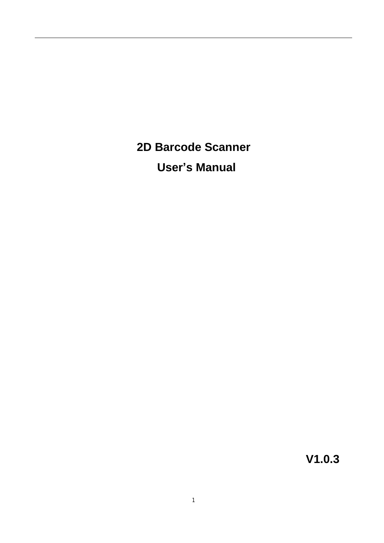**2D Barcode Scanner User's Manual**

**V1.0.3**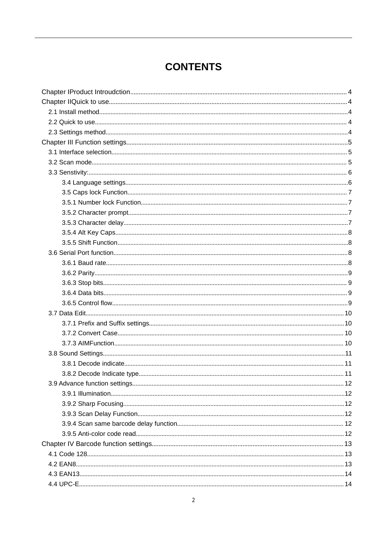# **CONTENTS**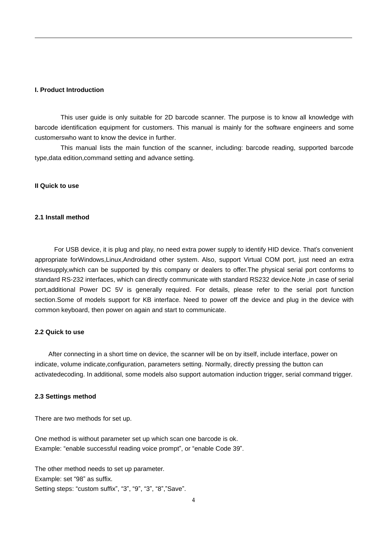#### **I. Product Introduction**

This user guide is only suitable for 2D barcode scanner. The purpose is to know all knowledge with barcode identification equipment for customers. This manual is mainly for the software engineers and some customerswho want to know the device in further.

This manual lists the main function of the scanner, including: barcode reading, supported barcode type,data edition,command setting and advance setting.

#### **II Quick to use**

#### **2.1 Install method**

For USB device, it is plug and play, no need extra power supply to identify HID device. That's convenient appropriate forWindows,Linux,Androidand other system. Also, support Virtual COM port, just need an extra drivesupply,which can be supported by this company or dealers to offer.The physical serial port conforms to standard RS-232 interfaces, which can directly communicate with standard RS232 device.Note ,in case of serial port,additional Power DC 5V is generally required. For details, please refer to the serial port function section.Some of models support for KB interface. Need to power off the device and plug in the device with common keyboard, then power on again and start to communicate.

#### **2.2 Quick to use**

After connecting in a short time on device, the scanner will be on by itself, include interface, power on indicate, volume indicate,configuration, parameters setting. Normally, directly pressing the button can activatedecoding. In additional, some models also support automation induction trigger, serial command trigger.

#### **2.3 Settings method**

There are two methods for set up.

One method is without parameter set up which scan one barcode is ok. Example: "enable successful reading voice prompt", or "enable Code 39".

The other method needs to set up parameter. Example: set "98" as suffix. Setting steps: "custom suffix", "3", "9", "3", "8","Save".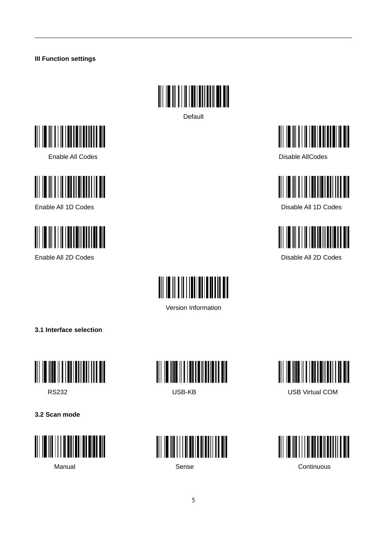#### **III Function settings**



Default





Enable All 1D Codes **Disable All 1D Codes** Disable All 1D Codes









Enable All 2D Codes **Disable All 2D Codes Disable All 2D Codes** 



Version Information

**3.1 Interface selection**



**3.2 Scan mode**









RS232 USB-KB USB Virtual COM



5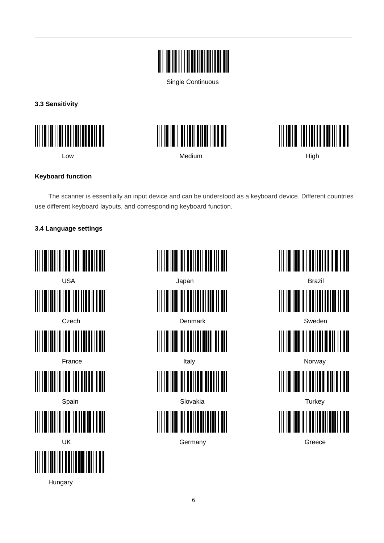

Single Continuous

**3.3 Sensitivity**







Low Medium High

#### **Keyboard function**

The scanner is essentially an input device and can be understood as a keyboard device. Different countries use different keyboard layouts, and corresponding keyboard function.

# **3.4 Language settings**



USA Japan Brazil <u> AI III III II III AHAA MITTI KA AMI</u> Czech Denmark Sweden France Italy Norway Spain Slovakia Turkey III I TUINTIN IN IN UK Greece **Germany** Germany Greece

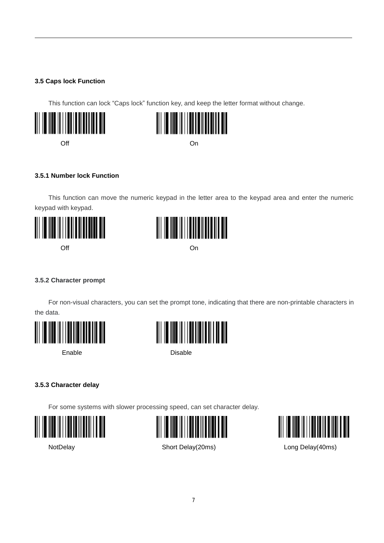#### **3.5 Caps lock Function**

This function can lock "Caps lock" function key, and keep the letter format without change.





Off **Off One of the Cone of the Cone of the Cone of the Cone of the Cone of the Cone of the Cone of the Cone of the Cone of the Cone of the Cone of the Cone of the Cone of the Cone of the Cone of the Cone of the Cone of** 

#### **3.5.1 Number lock Function**

This function can move the numeric keypad in the letter area to the keypad area and enter the numeric keypad with keypad.





#### **3.5.2 Character prompt**

For non-visual characters, you can set the prompt tone, indicating that there are non-printable characters in the data.







Enable Disable

#### **3.5.3 Character delay**

For some systems with slower processing speed, can set character delay.







NotDelay **NotDelay** Short Delay(20ms) **Long Delay(40ms)**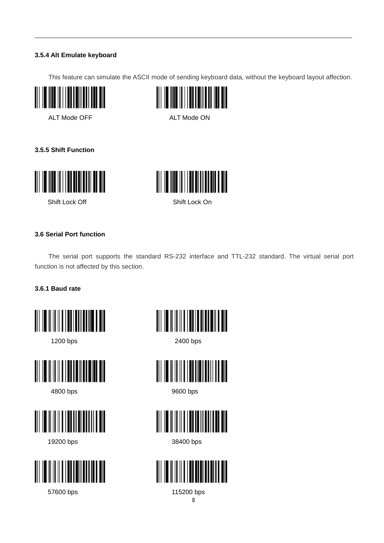#### **3.5.4 Alt Emulate keyboard**

This feature can simulate the ASCII mode of sending keyboard data, without the keyboard layout affection.



ALT Mode OFF ALT Mode ON



#### **3.5.5 Shift Function**





Shift Lock Off Shift Lock On

#### **3.6 Serial Port function**

The serial port supports the standard RS-232 interface and TTL-232 standard. The virtual serial port function is not affected by this section.

#### **3.6.1 Baud rate**









57600 bps 115200 bps



1200 bps 2400 bps



4800 bps 9600 bps



19200 bps 38400 bps

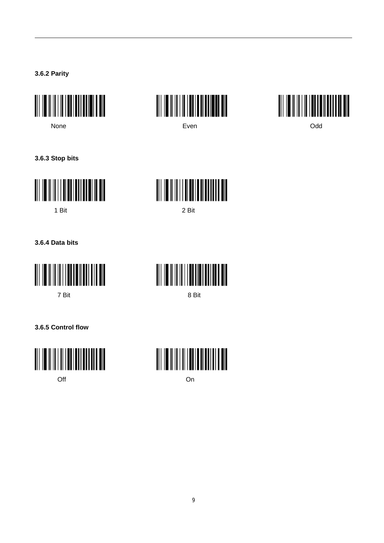**3.6.2 Parity**







**3.6.3 Stop bits**





1 Bit 2 Bit

**3.6.4 Data bits**





**3.6.5 Control flow**



Off **Off One of the Contract Contract Contract Contract Contract Contract Contract Contract Contract Contract Contract Contract Contract Contract Contract Contract Contract Contract Contract Contract Contract Contract Co** 

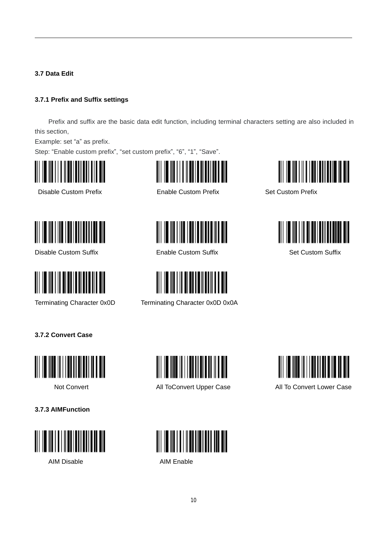**3.7 Data Edit**

#### **3.7.1 Prefix and Suffix settings**

Prefix and suffix are the basic data edit function, including terminal characters setting are also included in this section,

Example: set "a" as prefix.

Step: "Enable custom prefix", "set custom prefix", "6", "1", "Save".



Disable Custom Prefix **Enable Custom Prefix** Set Custom Prefix



<u> III Martin Martin III M</u>



Disable Custom Suffix **Enable Custom Suffix** Enable Custom Suffix Set Custom Suffix



Terminating Character 0x0D Terminating Character 0x0D 0x0A



**3.7.2 Convert Case**



**3.7.3 AIMFunction**









Not Convert All ToConvert Upper Case All To Convert Lower Case



AIM Disable **AIM Enable**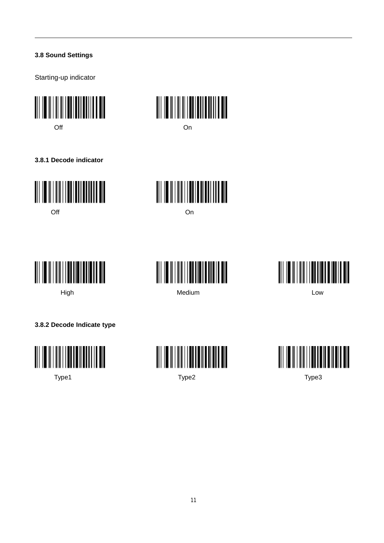#### **3.8 Sound Settings**

Starting-up indicator



**3.8.1 Decode indicator**











High Medium Low



**3.8.2 Decode Indicate type**





Type1 Type2 Type3

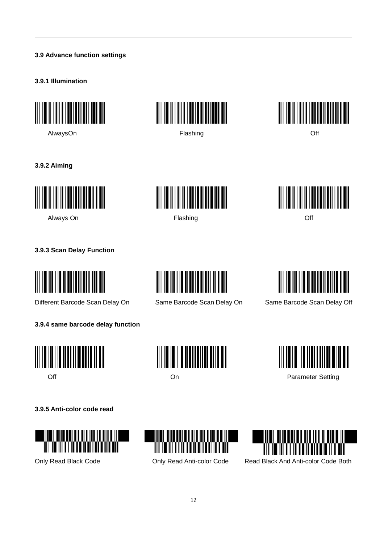#### **3.9 Advance function settings**

#### **3.9.1 Illumination**







**3.9.2 Aiming**







**3.9.3 Scan Delay Function**

<u> Harrison ka</u>

Different Barcode Scan Delay On Same Barcode Scan Delay On Same Barcode Scan Delay Off







# <u>|| || || || || || || || || || || || ||</u>



Off **Off Contract Contract Contract Contract Contract Contract Contract Contract Contract Contract Contract Contract Contract Contract Contract Contract Contract Contract Contract Contract Contract Contract Contract Cont** 

**3.9.5 Anti-color code read**







Only Read Black Code Only Read Anti-color Code Read Black And Anti-color Code Both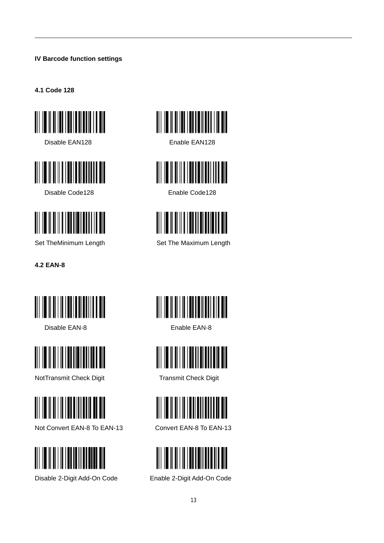# **IV Barcode function settings**

**4.1 Code 128**



Disable EAN128 Enable EAN128



Disable Code128 **Enable Code128** 



**4.2 EAN-8**



Disable EAN-8 Enable EAN-8



NotTransmit Check Digit Transmit Check Digit



Not Convert EAN-8 To EAN-13 Convert EAN-8 To EAN-13



Disable 2-Digit Add-On Code Enable 2-Digit Add-On Code







Set TheMinimum Length Set The Maximum Length







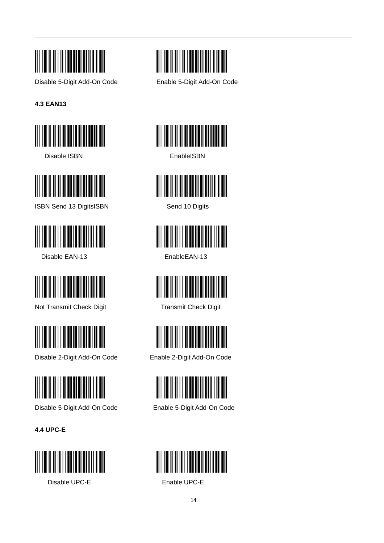

**4.3 EAN13**



Disable ISBN **EnableISBN** 



ISBN Send 13 DigitsISBN Send 10 Digits



Disable EAN-13 EnableEAN-13



Not Transmit Check Digit Transmit Check Digit



Disable 2-Digit Add-On Code Enable 2-Digit Add-On Code



Disable 5-Digit Add-On Code Enable 5-Digit Add-On Code

**4.4 UPC-E**



Disable UPC-E Enable UPC-E



Disable 5-Digit Add-On Code Enable 5-Digit Add-On Code













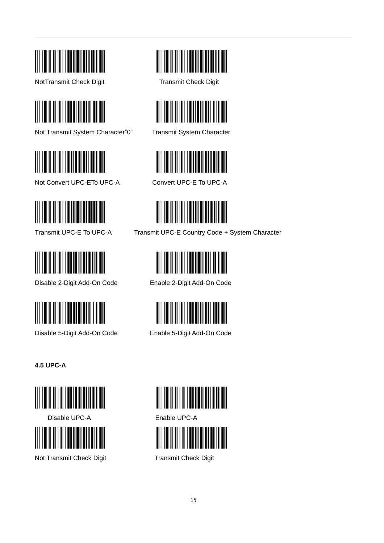

NotTransmit Check Digit Transmit Check Digit



Not Transmit System Character"0" Transmit System Character



Not Convert UPC-ETo UPC-A Convert UPC-E To UPC-A





Disable 2-Digit Add-On Code Enable 2-Digit Add-On Code



Disable 5-Digit Add-On Code Enable 5-Digit Add-On Code

**4.5 UPC-A**



Disable UPC-A Enable UPC-A



Not Transmit Check Digit Transmit Check Digit









Transmit UPC-E To UPC-A Transmit UPC-E Country Code + System Character







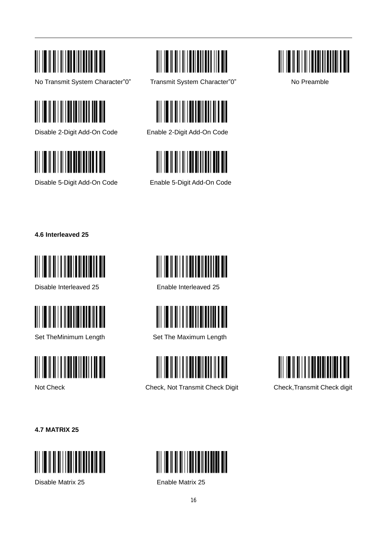

No Transmit System Character"0" Transmit System Character"0" No Preamble



Disable 2-Digit Add-On Code Enable 2-Digit Add-On Code



Disable 5-Digit Add-On Code Enable 5-Digit Add-On Code









**4.6 Interleaved 25**



Disable Interleaved 25 Enable Interleaved 25





<u> Harristan Maria (</u>



Set TheMinimum Length Set The Maximum Length



Not Check Check Check, Not Transmit Check Digit Check,Transmit Check digit



**4.7 MATRIX 25**



Disable Matrix 25 Enable Matrix 25

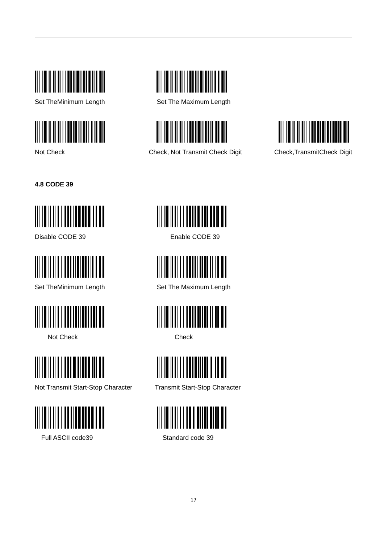





Set TheMinimum Length Set The Maximum Length



Not Check Check, Not Transmit Check Digit Check,TransmitCheck Digit



**4.8 CODE 39**



Disable CODE 39 Enable CODE 39





Not Check Check Check



Not Transmit Start-Stop Character Transmit Start-Stop Character



Full ASCII code39 Standard code 39





Set TheMinimum Length Set The Maximum Length





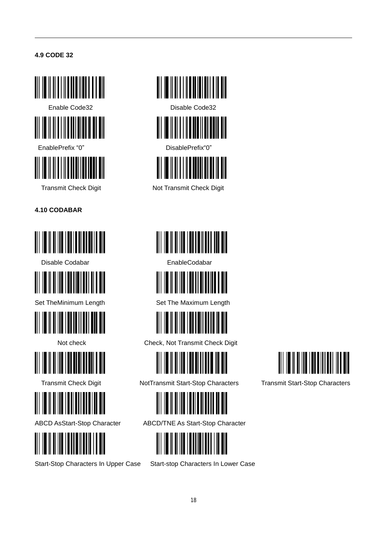# **4.9 CODE 32**





EnablePrefix "0" DisablePrefix "0"



**4.10 CODABAR**



Disable Codabar **EnableCodabar** EnableCodabar















Transmit Check Digit Not Transmit Check Digit





Set TheMinimum Length Set The Maximum Length



Not check Check, Not Transmit Check Digit



Transmit Check Digit NotTransmit Start-Stop Characters Transmit Start-Stop Characters



ABCD AsStart-Stop Character ABCD/TNE As Start-Stop Character



Start-Stop Characters In Upper Case Start-stop Characters In Lower Case

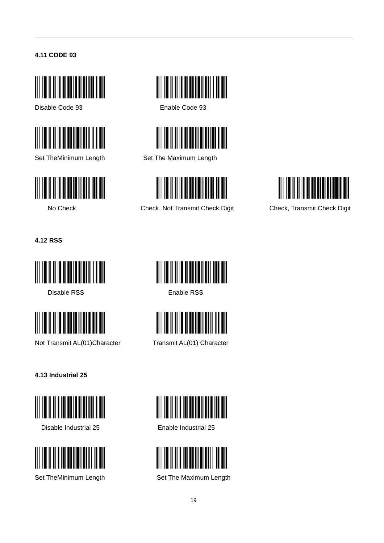# **4.11 CODE 93**



Disable Code 93 Enable Code 93





<u> III III III III III II</u>



Set TheMinimum Length Set The Maximum Length



No Check Check Check, Not Transmit Check Digit Check, Transmit Check Digit



**4.12 RSS**



Disable RSS **Enable RSS** 



Not Transmit AL(01)Character Transmit AL(01) Character

**4.13 Industrial 25**



Disable Industrial 25 Enable Industrial 25











Set TheMinimum Length Set The Maximum Length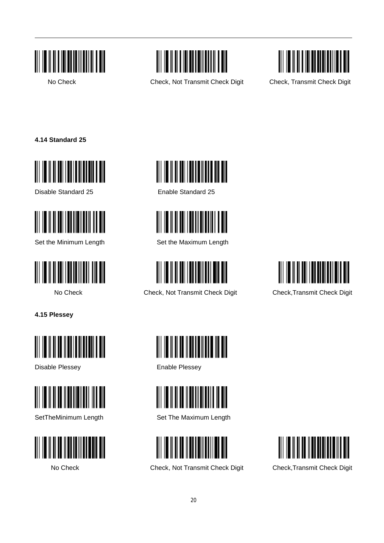



No Check Check, Not Transmit Check Digit Check, Transmit Check Digit



**4.14 Standard 25**



Disable Standard 25 Enable Standard 25





**4.15 Plessey**



Disable Plessey **Enable Plessey** 









Set the Minimum Length Set the Maximum Length



No Check Check, Not Transmit Check Digit Check, Transmit Check Digit







SetTheMinimum Length Set The Maximum Length



No Check Check Check, Not Transmit Check Digit Check,Transmit Check Digit

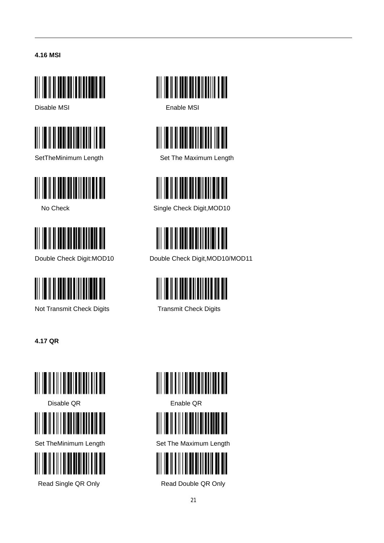#### **4.16 MSI**



Disable MSI **Enable MSI** 









Not Transmit Check Digits Transmit Check Digits

**4.17 QR**











SetTheMinimum Length Set The Maximum Length



No Check Single Check Digit, MOD10



Double Check Digit:MOD10 Double Check Digit,MOD10/MOD11





Disable QR Enable QR



Set TheMinimum Length Set The Maximum Length



Read Single QR Only **Read Double QR Only**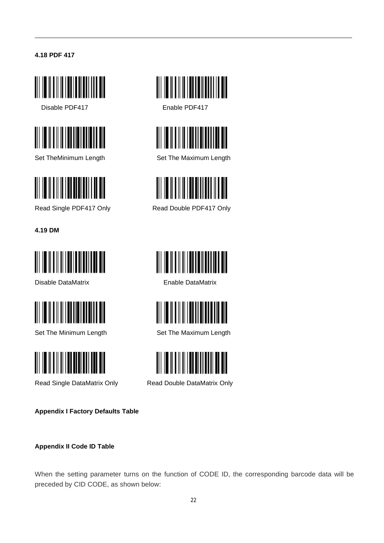#### **4.18 PDF 417**



Disable PDF417 Enable PDF417





**4.19 DM**



Disable DataMatrix Enable DataMatrix





**Appendix I Factory Defaults Table**

#### **Appendix II Code ID Table**





Set TheMinimum Length Set The Maximum Length



Read Single PDF417 Only Read Double PDF417 Only





Set The Minimum Length Set The Maximum Length



Read Single DataMatrix Only Read Double DataMatrix Only

When the setting parameter turns on the function of CODE ID, the corresponding barcode data will be preceded by CID CODE, as shown below: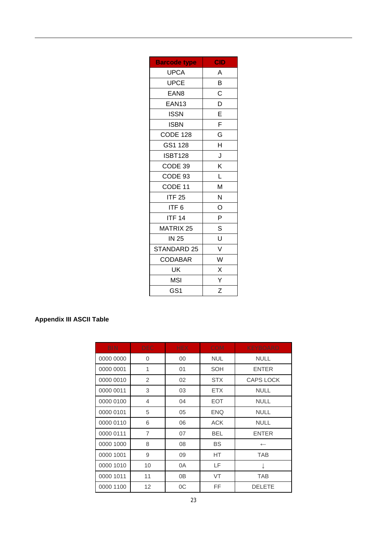| <b>Barcode type</b> | <b>CID</b> |
|---------------------|------------|
| UPCA                | A          |
| <b>UPCE</b>         | В          |
| EAN8                | C          |
| EAN13               | D          |
| <b>ISSN</b>         | E          |
| <b>ISBN</b>         | F          |
| <b>CODE 128</b>     | G          |
| GS1 128             | H          |
| <b>ISBT128</b>      | J          |
| CODE 39             | Κ          |
| CODE 93             | L          |
| CODE 11             | M          |
| <b>ITF 25</b>       | N          |
| ITF 6               | O          |
| <b>ITF 14</b>       | P          |
| <b>MATRIX 25</b>    | S          |
| <b>IN 25</b>        | U          |
| STANDARD 25         | V          |
| CODABAR             | W          |
| UK                  | X          |
| MSI                 | Y          |
| GS <sub>1</sub>     | Z          |

# **Appendix III ASCII Table**

| <b>BIN</b> | <b>DEC</b>     | <b>HEX</b> | <b>COM</b> | <b>KEYBOARD</b>  |
|------------|----------------|------------|------------|------------------|
| 0000 0000  | 0              | 00         | <b>NUL</b> | <b>NULL</b>      |
| 0000 0001  | 1              | 01         | SOH        | <b>ENTER</b>     |
| 0000 0010  | 2              | 02         | <b>STX</b> | <b>CAPS LOCK</b> |
| 0000 0011  | 3              | 03         | <b>ETX</b> | <b>NULL</b>      |
| 0000 0100  | 4              | 04         | <b>EOT</b> | <b>NULL</b>      |
| 0000 0101  | 5              | 05         | <b>ENQ</b> | <b>NULL</b>      |
| 0000 0110  | 6              | 06         | <b>ACK</b> | <b>NULL</b>      |
| 0000 0111  | $\overline{7}$ | 07         | <b>BEL</b> | <b>ENTER</b>     |
| 0000 1000  | 8              | 08         | <b>BS</b>  | $\leftarrow$     |
| 0000 1001  | 9              | 09         | HT         | <b>TAB</b>       |
| 0000 1010  | 10             | 0A         | LF         |                  |
| 0000 1011  | 11             | 0B         | <b>VT</b>  | <b>TAB</b>       |
| 0000 1100  | 12             | 0C         | FF         | <b>DELETE</b>    |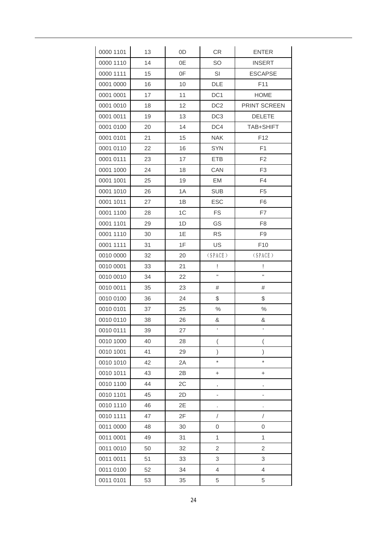| 0000 1101 | 13 | 0D             | CR                       | <b>ENTER</b>             |
|-----------|----|----------------|--------------------------|--------------------------|
| 0000 1110 | 14 | 0E             | <b>SO</b>                | <b>INSERT</b>            |
| 0000 1111 | 15 | 0F             | SI                       | <b>ESCAPSE</b>           |
| 0001 0000 | 16 | 10             | <b>DLE</b>               | F11                      |
| 0001 0001 | 17 | 11             | DC <sub>1</sub>          | <b>HOME</b>              |
| 0001 0010 | 18 | 12             | DC <sub>2</sub>          | PRINT SCREEN             |
| 0001 0011 | 19 | 13             | DC <sub>3</sub>          | <b>DELETE</b>            |
| 0001 0100 | 20 | 14             | DC4                      | TAB+SHIFT                |
| 0001 0101 | 21 | 15             | <b>NAK</b>               | F12                      |
| 0001 0110 | 22 | 16             | <b>SYN</b>               | F1                       |
| 0001 0111 | 23 | 17             | <b>ETB</b>               | F <sub>2</sub>           |
| 0001 1000 | 24 | 18             | CAN                      | F <sub>3</sub>           |
| 0001 1001 | 25 | 19             | <b>EM</b>                | F <sub>4</sub>           |
| 0001 1010 | 26 | 1A             | <b>SUB</b>               | F <sub>5</sub>           |
| 0001 1011 | 27 | 1B             | <b>ESC</b>               | F <sub>6</sub>           |
| 0001 1100 | 28 | 1 <sup>C</sup> | <b>FS</b>                | F7                       |
| 0001 1101 | 29 | 1D             | GS                       | F <sub>8</sub>           |
| 0001 1110 | 30 | 1E             | <b>RS</b>                | F <sub>9</sub>           |
| 0001 1111 | 31 | 1F             | US                       | F <sub>10</sub>          |
| 0010 0000 | 32 | 20             | (SPACE)                  | (SPACE)                  |
| 0010 0001 | 33 | 21             | Ţ                        | Ţ                        |
| 0010 0010 | 34 | 22             | $\mathbf{H}$             | H                        |
| 0010 0011 | 35 | 23             | #                        | #                        |
| 0010 0100 | 36 | 24             | \$                       | \$                       |
| 0010 0101 | 37 | 25             | $\%$                     | $\%$                     |
| 0010 0110 | 38 | 26             | &                        | &                        |
| 0010 0111 | 39 | 27             | $\bar{\rm t}$            | $\mathbf{r}$             |
| 0010 1000 | 40 | 28             | $\overline{\phantom{a}}$ | $\overline{(}$           |
| 0010 1001 | 41 | 29             | )                        | $\left( \right)$         |
| 0010 1010 | 42 | 2A             | *                        | $\star$                  |
| 0010 1011 | 43 | 2B             | +                        | +                        |
| 0010 1100 | 44 | 2C             | ,                        | $^\mathrm{!}$            |
| 0010 1101 | 45 | 2D             | ÷                        | $\overline{\phantom{0}}$ |
| 0010 1110 | 46 | 2E             |                          |                          |
| 0010 1111 | 47 | 2F             | $\overline{1}$           | /                        |
| 0011 0000 | 48 | 30             | 0                        | 0                        |
| 0011 0001 | 49 | 31             | 1                        | 1                        |
| 0011 0010 | 50 | 32             | $\overline{2}$           | $\overline{c}$           |
| 0011 0011 | 51 | 33             | 3                        | 3                        |
|           |    |                |                          |                          |
| 0011 0100 | 52 | 34             | 4                        | $\overline{4}$           |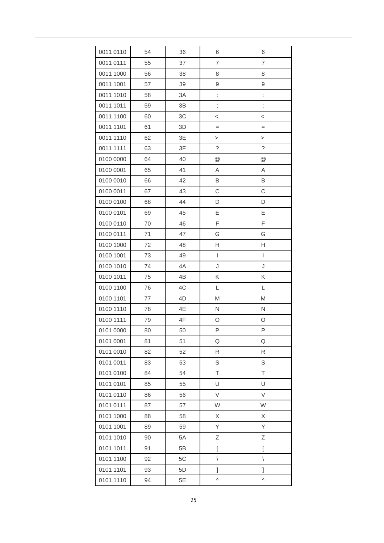| 0011 0110 | 54 | 36 | 6                                     | 6               |
|-----------|----|----|---------------------------------------|-----------------|
| 0011 0111 | 55 | 37 | 7                                     | 7               |
| 0011 1000 | 56 | 38 | 8                                     | 8               |
| 0011 1001 | 57 | 39 | 9                                     | 9               |
| 0011 1010 | 58 | 3A | $\vdots$                              | l.              |
| 0011 1011 | 59 | 3B | $\vdots$                              | $\vdots$        |
| 0011 1100 | 60 | 3C | $\,<$                                 | $\,<$           |
| 0011 1101 | 61 | 3D | $=$                                   | $=$             |
| 0011 1110 | 62 | 3E | >                                     | $\rm{>}$        |
| 0011 1111 | 63 | 3F | ?                                     | $\tilde{?}$     |
| 0100 0000 | 64 | 40 | $^{\copyright}$                       | $^{\copyright}$ |
| 0100 0001 | 65 | 41 | Α                                     | Α               |
| 0100 0010 | 66 | 42 | B                                     | B               |
| 0100 0011 | 67 | 43 | C                                     | C               |
| 0100 0100 | 68 | 44 | D                                     | D               |
| 0100 0101 | 69 | 45 | E                                     | E               |
| 0100 0110 | 70 | 46 | F                                     | F               |
| 0100 0111 | 71 | 47 | G                                     | G               |
| 0100 1000 | 72 | 48 | Н                                     | Н               |
| 0100 1001 | 73 | 49 | $\begin{array}{c} \hline \end{array}$ | L               |
| 0100 1010 | 74 | 4A | J                                     | J               |
| 0100 1011 | 75 | 4B | Κ                                     | Κ               |
| 0100 1100 | 76 | 4C | L                                     | L               |
| 0100 1101 | 77 | 4D | M                                     | M               |
| 0100 1110 | 78 | 4E | N                                     | N               |
| 0100 1111 | 79 | 4F | O                                     | O               |
| 0101 0000 | 80 | 50 | P                                     | P               |
| 0101 0001 | 81 | 51 | Q                                     | Q               |
| 0101 0010 | 82 | 52 | ${\sf R}$                             | R               |
| 0101 0011 | 83 | 53 | S                                     | S               |
| 0101 0100 | 84 | 54 | T                                     | T               |
| 0101 0101 | 85 | 55 | U                                     | U               |
| 0101 0110 | 86 | 56 | V                                     | V               |
| 0101 0111 | 87 | 57 | W                                     | W               |
| 0101 1000 | 88 | 58 | X                                     | X               |
| 0101 1001 | 89 | 59 | Υ                                     | Υ               |
| 0101 1010 | 90 | 5A | Ζ                                     | Ζ               |
| 0101 1011 | 91 | 5B | $\overline{[}$                        | ſ               |
| 0101 1100 | 92 | 5C | $\backslash$                          | $\backslash$    |
| 0101 1101 | 93 | 5D | 1                                     | l               |
| 0101 1110 | 94 | 5E | Λ                                     | Λ               |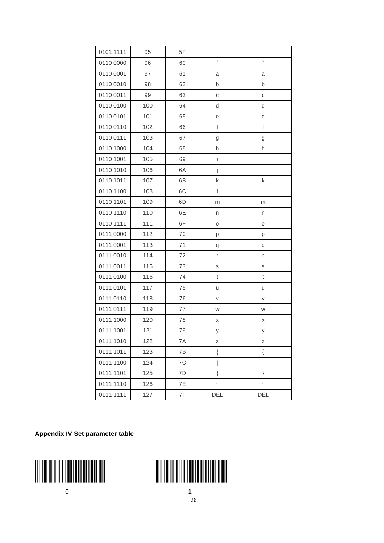| 0101 1111 | 95  | 5F |                          |               |
|-----------|-----|----|--------------------------|---------------|
| 0110 0000 | 96  | 60 | $\overline{\phantom{a}}$ |               |
| 0110 0001 | 97  | 61 | a                        | а             |
| 0110 0010 | 98  | 62 | b                        | b             |
| 0110 0011 | 99  | 63 | $\mathbb{C}$             | $\mathsf C$   |
| 0110 0100 | 100 | 64 | d                        | d             |
| 0110 0101 | 101 | 65 | е                        | е             |
| 0110 0110 | 102 | 66 | $\mathsf f$              | $\mathsf f$   |
| 0110 0111 | 103 | 67 | g                        | g             |
| 0110 1000 | 104 | 68 | h                        | h             |
| 0110 1001 | 105 | 69 | i                        | İ.            |
| 0110 1010 | 106 | 6A | j                        | j             |
| 0110 1011 | 107 | 6B | k                        | k             |
| 0110 1100 | 108 | 6C | I                        | $\mathsf{I}$  |
| 0110 1101 | 109 | 6D | m                        | m             |
| 0110 1110 | 110 | 6E | n                        | n             |
| 0110 1111 | 111 | 6F | O                        | O             |
| 0111 0000 | 112 | 70 | р                        | р             |
| 0111 0001 | 113 | 71 | q                        | q             |
| 0111 0010 | 114 | 72 | r                        | r             |
| 0111 0011 | 115 | 73 | S                        | S             |
| 0111 0100 | 116 | 74 | t                        | $^\mathrm{t}$ |
| 0111 0101 | 117 | 75 | u                        | u             |
| 0111 0110 | 118 | 76 | V                        | V             |
| 0111 0111 | 119 | 77 | W                        | W             |
| 0111 1000 | 120 | 78 | Χ                        | Χ             |
| 0111 1001 | 121 | 79 | У                        | V             |
| 0111 1010 | 122 | 7A | Z                        | Ζ             |
| 0111 1011 | 123 | 7B | $\{$                     | $\{$          |
| 0111 1100 | 124 | 7C | I                        |               |
| 0111 1101 | 125 | 7D | }                        | }             |
| 0111 1110 | 126 | 7E | $\tilde{}$               | $\tilde{}$    |
| 0111 1111 | 127 | 7F | DEL                      | DEL           |

**Appendix IV Set parameter table**